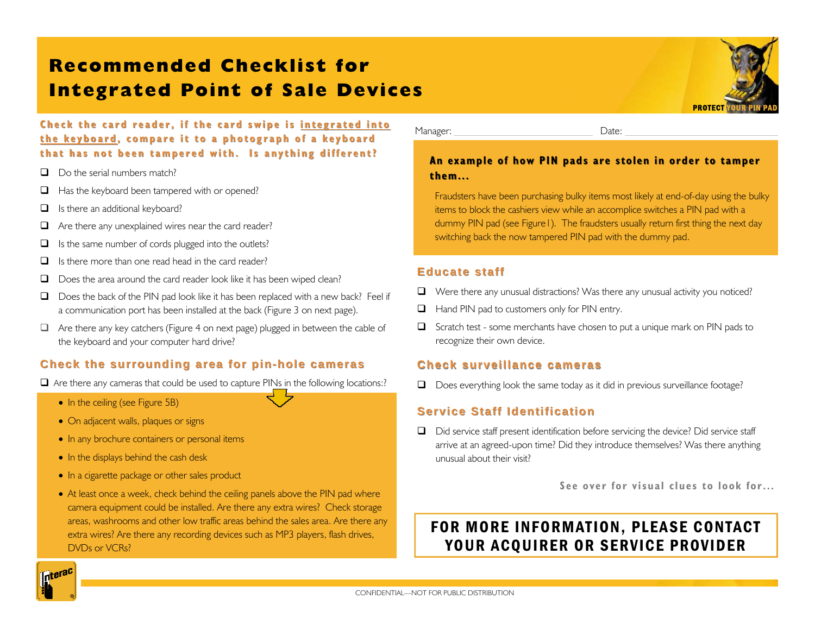# **Recommended Checklist for Integrated Point of Sale Devices**



**Check the card reader, if the card swipe is integrated into the keyboard the keyboard, compare it to a photograph of a keyboard , compare it to a photograph of a keyboard that has not been tampered with. Is anything different? that has not been tampered with. Is anything different?**

- $\Box$  Do the serial numbers match?
- $\Box$  Has the keyboard been tampered with or opened?
- $\Box$  Is there an additional keyboard?
- $\Box$  Are there any unexplained wires near the card reader?
- $\Box$  Is the same number of cords plugged into the outlets?
- $\Box$  Is there more than one read head in the card reader?
- Does the area around the card reader look like it has been wiped clean?
- $\Box$  Does the back of the PIN pad look like it has been replaced with a new back? Feel if a communication port has been installed at the back (Figure 3 on next page).
- $\Box$  Are there any key catchers (Figure 4 on next page) plugged in between the cable of the keyboard and your computer hard drive?

### **Check the surrounding area for pin-hole cameras hole cameras**

 $\Box$  Are there any cameras that could be used to capture PINs in the following locations:?

- In the ceiling (see Figure 5B)
- On adjacent walls, plaques or signs
- In any brochure containers or personal items
- In the displays behind the cash desk
- In a cigarette package or other sales product
- At least once a week, check behind the ceiling panels above the PIN pad where camera equipment could be installed. Are there any extra wires? Check storage areas, washrooms and other low traffic areas behind the sales area. Are there any extra wires? Are there any recording devices such as MP3 players, flash drives, DVDs or VCRs?

Manager: Date:

### An example of how PIN pads are stolen in order to tamper **them... them...**

Fraudsters have been purchasing bulky items most likely at end-of-day using the bulky items to block the cashiers view while an accomplice switches a PIN pad with a dummy PIN pad (see Figure1). The fraudsters usually return first thing the next day switching back the now tampered PIN pad with the dummy pad.

#### **Educate staff Educate staff**

- $\Box$  Were there any unusual distractions? Was there any unusual activity you noticed?
- $\Box$  Hand PIN pad to customers only for PIN entry.
- Scratch test some merchants have chosen to put a unique mark on PIN pads to recognize their own device.

### **Check surveillance cameras Check surveillance cameras**

 $\Box$  Does everything look the same today as it did in previous surveillance footage?

## **Service Staff Identification**

Did service staff present identification before servicing the device? Did service staff arrive at an agreed-upon time? Did they introduce themselves? Was there anything unusual about their visit?

**See over for visual clues to look for...** 

# FOR MORE INFORMATION, PLEASE CONTACT YOUR ACOUIRER OR SERVICE PROVIDER